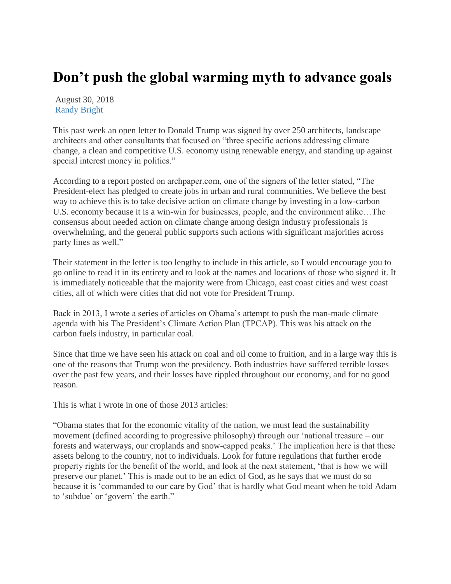## **Don't push the global warming myth to advance goals**

August 30, 2018 [Randy Bright](http://tulsabeacon.com/author/randy-bright/)

This past week an open letter to Donald Trump was signed by over 250 architects, landscape architects and other consultants that focused on "three specific actions addressing climate change, a clean and competitive U.S. economy using renewable energy, and standing up against special interest money in politics."

According to a report posted on archpaper.com, one of the signers of the letter stated, "The President-elect has pledged to create jobs in urban and rural communities. We believe the best way to achieve this is to take decisive action on climate change by investing in a low-carbon U.S. economy because it is a win-win for businesses, people, and the environment alike…The consensus about needed action on climate change among design industry professionals is overwhelming, and the general public supports such actions with significant majorities across party lines as well."

Their statement in the letter is too lengthy to include in this article, so I would encourage you to go online to read it in its entirety and to look at the names and locations of those who signed it. It is immediately noticeable that the majority were from Chicago, east coast cities and west coast cities, all of which were cities that did not vote for President Trump.

Back in 2013, I wrote a series of articles on Obama's attempt to push the man-made climate agenda with his The President's Climate Action Plan (TPCAP). This was his attack on the carbon fuels industry, in particular coal.

Since that time we have seen his attack on coal and oil come to fruition, and in a large way this is one of the reasons that Trump won the presidency. Both industries have suffered terrible losses over the past few years, and their losses have rippled throughout our economy, and for no good reason.

This is what I wrote in one of those 2013 articles:

"Obama states that for the economic vitality of the nation, we must lead the sustainability movement (defined according to progressive philosophy) through our 'national treasure – our forests and waterways, our croplands and snow-capped peaks.' The implication here is that these assets belong to the country, not to individuals. Look for future regulations that further erode property rights for the benefit of the world, and look at the next statement, 'that is how we will preserve our planet.' This is made out to be an edict of God, as he says that we must do so because it is 'commanded to our care by God' that is hardly what God meant when he told Adam to 'subdue' or 'govern' the earth."